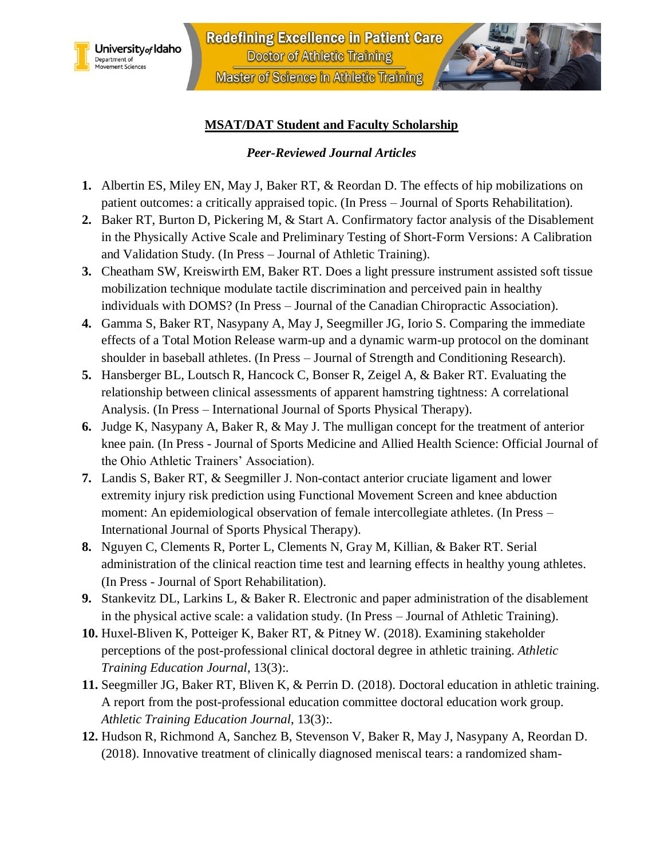



## **MSAT/DAT Student and Faculty Scholarship**

### *Peer-Reviewed Journal Articles*

- **1.** Albertin ES, Miley EN, May J, Baker RT, & Reordan D. The effects of hip mobilizations on patient outcomes: a critically appraised topic. (In Press – Journal of Sports Rehabilitation).
- **2.** Baker RT, Burton D, Pickering M, & Start A. Confirmatory factor analysis of the Disablement in the Physically Active Scale and Preliminary Testing of Short-Form Versions: A Calibration and Validation Study. (In Press – Journal of Athletic Training).
- **3.** Cheatham SW, Kreiswirth EM, Baker RT. Does a light pressure instrument assisted soft tissue mobilization technique modulate tactile discrimination and perceived pain in healthy individuals with DOMS? (In Press – Journal of the Canadian Chiropractic Association).
- **4.** Gamma S, Baker RT, Nasypany A, May J, Seegmiller JG, Iorio S. Comparing the immediate effects of a Total Motion Release warm-up and a dynamic warm-up protocol on the dominant shoulder in baseball athletes. (In Press – Journal of Strength and Conditioning Research).
- **5.** Hansberger BL, Loutsch R, Hancock C, Bonser R, Zeigel A, & Baker RT. Evaluating the relationship between clinical assessments of apparent hamstring tightness: A correlational Analysis. (In Press – International Journal of Sports Physical Therapy).
- **6.** Judge K, Nasypany A, Baker R, & May J. The mulligan concept for the treatment of anterior knee pain. (In Press - Journal of Sports Medicine and Allied Health Science: Official Journal of the Ohio Athletic Trainers' Association).
- **7.** Landis S, Baker RT, & Seegmiller J. Non-contact anterior cruciate ligament and lower extremity injury risk prediction using Functional Movement Screen and knee abduction moment: An epidemiological observation of female intercollegiate athletes. (In Press – International Journal of Sports Physical Therapy).
- **8.** Nguyen C, Clements R, Porter L, Clements N, Gray M, Killian, & Baker RT. Serial administration of the clinical reaction time test and learning effects in healthy young athletes. (In Press - Journal of Sport Rehabilitation).
- **9.** Stankevitz DL, Larkins L, & Baker R. Electronic and paper administration of the disablement in the physical active scale: a validation study. (In Press – Journal of Athletic Training).
- **10.** Huxel-Bliven K, Potteiger K, Baker RT, & Pitney W. (2018). Examining stakeholder perceptions of the post-professional clinical doctoral degree in athletic training. *Athletic Training Education Journal*, 13(3):.
- **11.** Seegmiller JG, Baker RT, Bliven K, & Perrin D. (2018). Doctoral education in athletic training. A report from the post-professional education committee doctoral education work group. *Athletic Training Education Journal*, 13(3):.
- **12.** Hudson R, Richmond A, Sanchez B, Stevenson V, Baker R, May J, Nasypany A, Reordan D. (2018). Innovative treatment of clinically diagnosed meniscal tears: a randomized sham-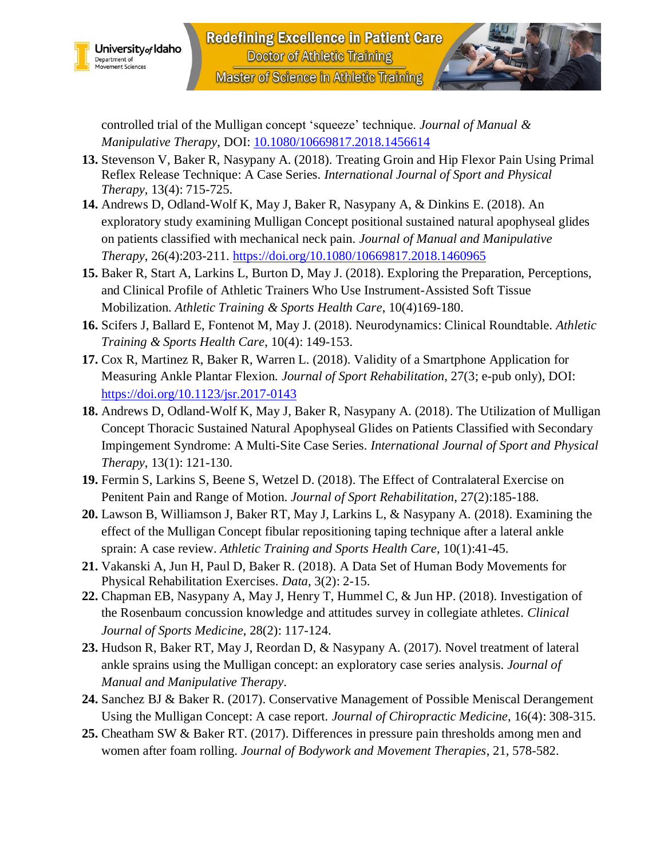



controlled trial of the Mulligan concept 'squeeze' technique. *Journal of Manual & Manipulative Therapy*, DOI: [10.1080/10669817.2018.1456614](https://doi.org/10.1080/10669817.2018.1456614)

- **13.** Stevenson V, Baker R, Nasypany A. (2018). Treating Groin and Hip Flexor Pain Using Primal Reflex Release Technique: A Case Series. *International Journal of Sport and Physical Therapy*, 13(4): 715-725.
- **14.** Andrews D, Odland-Wolf K, May J, Baker R, Nasypany A, & Dinkins E. (2018). An exploratory study examining Mulligan Concept positional sustained natural apophyseal glides on patients classified with mechanical neck pain. *Journal of Manual and Manipulative Therapy*, 26(4):203-211. <https://doi.org/10.1080/10669817.2018.1460965>
- **15.** Baker R, Start A, Larkins L, Burton D, May J. (2018). Exploring the Preparation, Perceptions, and Clinical Profile of Athletic Trainers Who Use Instrument-Assisted Soft Tissue Mobilization. *Athletic Training & Sports Health Care*, 10(4)169-180.
- **16.** Scifers J, Ballard E, Fontenot M, May J. (2018). Neurodynamics: Clinical Roundtable. *Athletic Training & Sports Health Care*, 10(4): 149-153.
- **17.** Cox R, Martinez R, Baker R, Warren L. (2018). Validity of a Smartphone Application for Measuring Ankle Plantar Flexion. *Journal of Sport Rehabilitation*, 27(3; e-pub only), DOI: <https://doi.org/10.1123/jsr.2017-0143>
- **18.** Andrews D, Odland-Wolf K, May J, Baker R, Nasypany A. (2018). The Utilization of Mulligan Concept Thoracic Sustained Natural Apophyseal Glides on Patients Classified with Secondary Impingement Syndrome: A Multi-Site Case Series. *International Journal of Sport and Physical Therapy*, 13(1): 121-130.
- **19.** Fermin S, Larkins S, Beene S, Wetzel D. (2018). The Effect of Contralateral Exercise on Penitent Pain and Range of Motion. *Journal of Sport Rehabilitation*, 27(2):185-188.
- **20.** Lawson B, Williamson J, Baker RT, May J, Larkins L, & Nasypany A. (2018). Examining the effect of the Mulligan Concept fibular repositioning taping technique after a lateral ankle sprain: A case review. *Athletic Training and Sports Health Care*, 10(1):41-45.
- **21.** Vakanski A, Jun H, Paul D, Baker R. (2018). A Data Set of Human Body Movements for Physical Rehabilitation Exercises. *Data*, 3(2): 2-15.
- **22.** Chapman EB, Nasypany A, May J, Henry T, Hummel C, & Jun HP. (2018). Investigation of the Rosenbaum concussion knowledge and attitudes survey in collegiate athletes. *Clinical Journal of Sports Medicine*, 28(2): 117-124.
- **23.** Hudson R, Baker RT, May J, Reordan D, & Nasypany A. (2017). Novel treatment of lateral ankle sprains using the Mulligan concept: an exploratory case series analysis. *Journal of Manual and Manipulative Therapy*.
- **24.** Sanchez BJ & Baker R. (2017). Conservative Management of Possible Meniscal Derangement Using the Mulligan Concept: A case report. *Journal of Chiropractic Medicine*, 16(4): 308-315.
- **25.** Cheatham SW & Baker RT. (2017). Differences in pressure pain thresholds among men and women after foam rolling. *Journal of Bodywork and Movement Therapies*, 21, 578-582.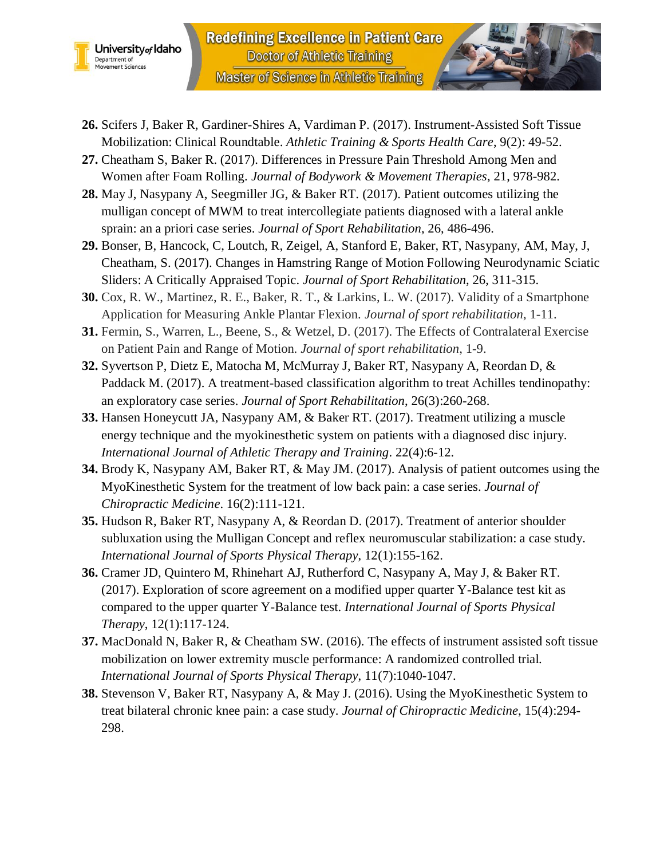



- **26.** Scifers J, Baker R, Gardiner-Shires A, Vardiman P. (2017). Instrument-Assisted Soft Tissue Mobilization: Clinical Roundtable. *Athletic Training & Sports Health Care*, 9(2): 49-52.
- **27.** Cheatham S, Baker R. (2017). Differences in Pressure Pain Threshold Among Men and Women after Foam Rolling. *Journal of Bodywork & Movement Therapies*, 21, 978-982.
- **28.** May J, Nasypany A, Seegmiller JG, & Baker RT. (2017). Patient outcomes utilizing the mulligan concept of MWM to treat intercollegiate patients diagnosed with a lateral ankle sprain: an a priori case series. *Journal of Sport Rehabilitation*, 26, 486-496.
- **29.** Bonser, B, Hancock, C, Loutch, R, Zeigel, A, Stanford E, Baker, RT, Nasypany, AM, May, J, Cheatham, S. (2017). Changes in Hamstring Range of Motion Following Neurodynamic Sciatic Sliders: A Critically Appraised Topic. *Journal of Sport Rehabilitation*, 26, 311-315.
- **30.** Cox, R. W., Martinez, R. E., Baker, R. T., & Larkins, L. W. (2017). Validity of a Smartphone Application for Measuring Ankle Plantar Flexion. *Journal of sport rehabilitation*, 1-11.
- **31.** Fermin, S., Warren, L., Beene, S., & Wetzel, D. (2017). The Effects of Contralateral Exercise on Patient Pain and Range of Motion. *Journal of sport rehabilitation*, 1-9.
- **32.** Syvertson P, Dietz E, Matocha M, McMurray J, Baker RT, Nasypany A, Reordan D, & Paddack M. (2017). A treatment-based classification algorithm to treat Achilles tendinopathy: an exploratory case series. *Journal of Sport Rehabilitation*, 26(3):260-268.
- **33.** Hansen Honeycutt JA, Nasypany AM, & Baker RT. (2017). Treatment utilizing a muscle energy technique and the myokinesthetic system on patients with a diagnosed disc injury. *International Journal of Athletic Therapy and Training*. 22(4):6-12.
- **34.** Brody K, Nasypany AM, Baker RT, & May JM. (2017). Analysis of patient outcomes using the MyoKinesthetic System for the treatment of low back pain: a case series. *Journal of Chiropractic Medicine*. 16(2):111-121.
- **35.** Hudson R, Baker RT, Nasypany A, & Reordan D. (2017). Treatment of anterior shoulder subluxation using the Mulligan Concept and reflex neuromuscular stabilization: a case study. *International Journal of Sports Physical Therapy*, 12(1):155-162.
- **36.** Cramer JD, Quintero M, Rhinehart AJ, Rutherford C, Nasypany A, May J, & Baker RT. (2017). Exploration of score agreement on a modified upper quarter Y-Balance test kit as compared to the upper quarter Y-Balance test. *International Journal of Sports Physical Therapy*, 12(1):117-124.
- **37.** MacDonald N, Baker R, & Cheatham SW. (2016). The effects of instrument assisted soft tissue mobilization on lower extremity muscle performance: A randomized controlled trial. *International Journal of Sports Physical Therapy*, 11(7):1040-1047.
- **38.** Stevenson V, Baker RT, Nasypany A, & May J. (2016). Using the MyoKinesthetic System to treat bilateral chronic knee pain: a case study. *Journal of Chiropractic Medicine*, 15(4):294- 298.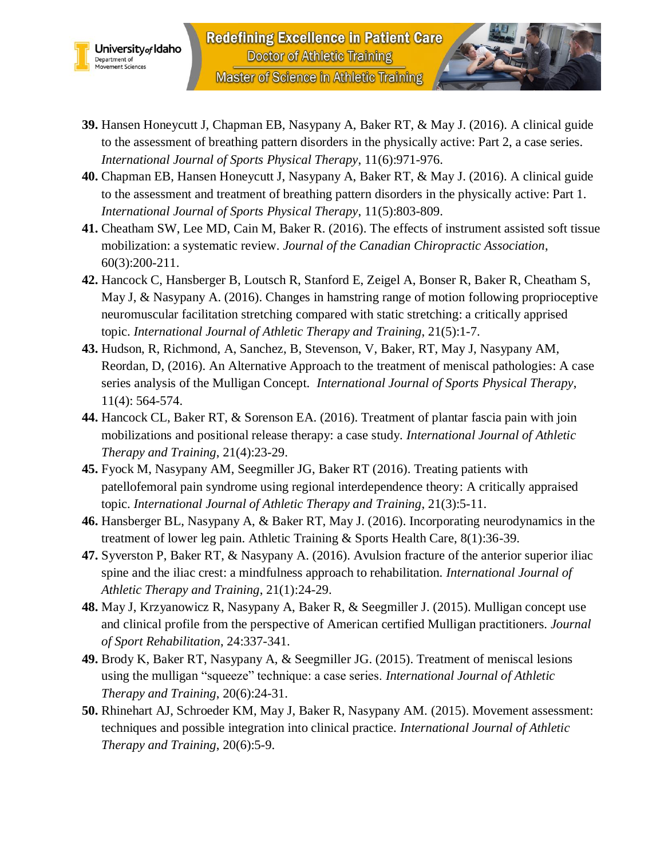



- **40.** Chapman EB, Hansen Honeycutt J, Nasypany A, Baker RT, & May J. (2016). A clinical guide to the assessment and treatment of breathing pattern disorders in the physically active: Part 1. *International Journal of Sports Physical Therapy*, 11(5):803-809.
- **41.** Cheatham SW, Lee MD, Cain M, Baker R. (2016). The effects of instrument assisted soft tissue mobilization: a systematic review. *Journal of the Canadian Chiropractic Association*, 60(3):200-211.
- **42.** Hancock C, Hansberger B, Loutsch R, Stanford E, Zeigel A, Bonser R, Baker R, Cheatham S, May J, & Nasypany A. (2016). Changes in hamstring range of motion following proprioceptive neuromuscular facilitation stretching compared with static stretching: a critically apprised topic. *International Journal of Athletic Therapy and Training*, 21(5):1-7.
- **43.** Hudson, R, Richmond, A, Sanchez, B, Stevenson, V, Baker, RT, May J, Nasypany AM, Reordan, D, (2016). An Alternative Approach to the treatment of meniscal pathologies: A case series analysis of the Mulligan Concept. *International Journal of Sports Physical Therapy*, 11(4): 564-574.
- **44.** Hancock CL, Baker RT, & Sorenson EA. (2016). Treatment of plantar fascia pain with join mobilizations and positional release therapy: a case study. *International Journal of Athletic Therapy and Training*, 21(4):23-29.
- **45.** Fyock M, Nasypany AM, Seegmiller JG, Baker RT (2016). Treating patients with patellofemoral pain syndrome using regional interdependence theory: A critically appraised topic. *International Journal of Athletic Therapy and Training*, 21(3):5-11.
- **46.** Hansberger BL, Nasypany A, & Baker RT, May J. (2016). Incorporating neurodynamics in the treatment of lower leg pain. Athletic Training & Sports Health Care, 8(1):36-39.
- **47.** Syverston P, Baker RT, & Nasypany A. (2016). Avulsion fracture of the anterior superior iliac spine and the iliac crest: a mindfulness approach to rehabilitation. *International Journal of Athletic Therapy and Training*, 21(1):24-29.
- **48.** May J, Krzyanowicz R, Nasypany A, Baker R, & Seegmiller J. (2015). Mulligan concept use and clinical profile from the perspective of American certified Mulligan practitioners. *Journal of Sport Rehabilitation*, 24:337-341.
- **49.** Brody K, Baker RT, Nasypany A, & Seegmiller JG. (2015). Treatment of meniscal lesions using the mulligan "squeeze" technique: a case series. *International Journal of Athletic Therapy and Training*, 20(6):24-31.
- **50.** Rhinehart AJ, Schroeder KM, May J, Baker R, Nasypany AM. (2015). Movement assessment: techniques and possible integration into clinical practice. *International Journal of Athletic Therapy and Training*, 20(6):5-9.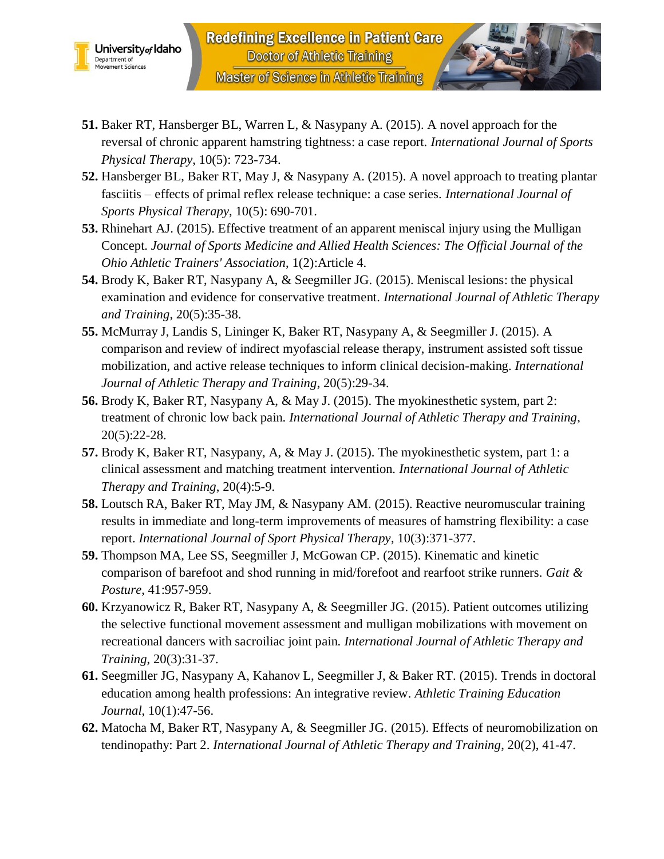



- **51.** Baker RT, Hansberger BL, Warren L, & Nasypany A. (2015). A novel approach for the reversal of chronic apparent hamstring tightness: a case report. *International Journal of Sports Physical Therapy*, 10(5): 723-734.
- **52.** Hansberger BL, Baker RT, May J, & Nasypany A. (2015). A novel approach to treating plantar fasciitis – effects of primal reflex release technique: a case series. *International Journal of Sports Physical Therapy*, 10(5): 690-701.
- **53.** Rhinehart AJ. (2015). Effective treatment of an apparent meniscal injury using the Mulligan Concept. *Journal of Sports Medicine and Allied Health Sciences: The Official Journal of the Ohio Athletic Trainers' Association*, 1(2):Article 4.
- **54.** Brody K, Baker RT, Nasypany A, & Seegmiller JG. (2015). Meniscal lesions: the physical examination and evidence for conservative treatment. *International Journal of Athletic Therapy and Training*, 20(5):35-38.
- **55.** McMurray J, Landis S, Lininger K, Baker RT, Nasypany A, & Seegmiller J. (2015). A comparison and review of indirect myofascial release therapy, instrument assisted soft tissue mobilization, and active release techniques to inform clinical decision-making. *International Journal of Athletic Therapy and Training*, 20(5):29-34.
- **56.** Brody K, Baker RT, Nasypany A, & May J. (2015). The myokinesthetic system, part 2: treatment of chronic low back pain. *International Journal of Athletic Therapy and Training*, 20(5):22-28.
- **57.** Brody K, Baker RT, Nasypany, A, & May J. (2015). The myokinesthetic system, part 1: a clinical assessment and matching treatment intervention. *International Journal of Athletic Therapy and Training*, 20(4):5-9.
- **58.** Loutsch RA, Baker RT, May JM, & Nasypany AM. (2015). Reactive neuromuscular training results in immediate and long-term improvements of measures of hamstring flexibility: a case report. *International Journal of Sport Physical Therapy*, 10(3):371-377.
- **59.** Thompson MA, Lee SS, Seegmiller J, McGowan CP. (2015). Kinematic and kinetic comparison of barefoot and shod running in mid/forefoot and rearfoot strike runners. *Gait & Posture*, 41:957-959.
- **60.** Krzyanowicz R, Baker RT, Nasypany A, & Seegmiller JG. (2015). Patient outcomes utilizing the selective functional movement assessment and mulligan mobilizations with movement on recreational dancers with sacroiliac joint pain. *International Journal of Athletic Therapy and Training*, 20(3):31-37.
- **61.** Seegmiller JG, Nasypany A, Kahanov L, Seegmiller J, & Baker RT. (2015). Trends in doctoral education among health professions: An integrative review. *Athletic Training Education Journal*, 10(1):47-56.
- **62.** Matocha M, Baker RT, Nasypany A, & Seegmiller JG. (2015). Effects of neuromobilization on tendinopathy: Part 2. *International Journal of Athletic Therapy and Training*, 20(2), 41-47.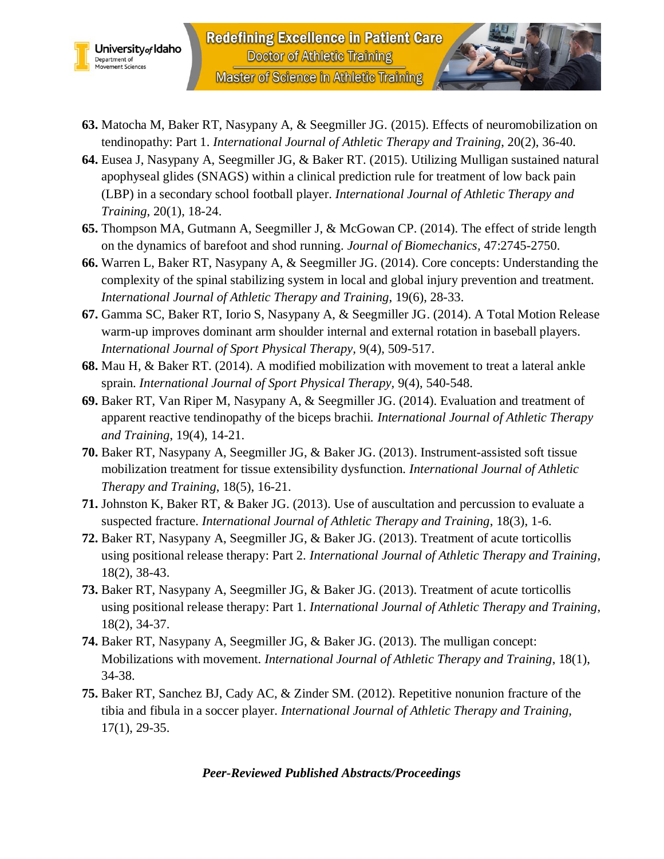



- **63.** Matocha M, Baker RT, Nasypany A, & Seegmiller JG. (2015). Effects of neuromobilization on tendinopathy: Part 1. *International Journal of Athletic Therapy and Training*, 20(2), 36-40.
- **64.** Eusea J, Nasypany A, Seegmiller JG, & Baker RT. (2015). Utilizing Mulligan sustained natural apophyseal glides (SNAGS) within a clinical prediction rule for treatment of low back pain (LBP) in a secondary school football player. *International Journal of Athletic Therapy and Training*, 20(1), 18-24.
- **65.** Thompson MA, Gutmann A, Seegmiller J, & McGowan CP. (2014). The effect of stride length on the dynamics of barefoot and shod running. *Journal of Biomechanics,* 47:2745-2750.
- **66.** Warren L, Baker RT, Nasypany A, & Seegmiller JG. (2014). Core concepts: Understanding the complexity of the spinal stabilizing system in local and global injury prevention and treatment. *International Journal of Athletic Therapy and Training*, 19(6), 28-33.
- **67.** Gamma SC, Baker RT, Iorio S, Nasypany A, & Seegmiller JG. (2014). A Total Motion Release warm-up improves dominant arm shoulder internal and external rotation in baseball players. *International Journal of Sport Physical Therapy,* 9(4), 509-517.
- **68.** Mau H, & Baker RT. (2014). A modified mobilization with movement to treat a lateral ankle sprain. *International Journal of Sport Physical Therapy,* 9(4), 540-548.
- **69.** Baker RT, Van Riper M, Nasypany A, & Seegmiller JG. (2014). Evaluation and treatment of apparent reactive tendinopathy of the biceps brachii. *International Journal of Athletic Therapy and Training*, 19(4), 14-21.
- **70.** Baker RT, Nasypany A, Seegmiller JG, & Baker JG. (2013). Instrument-assisted soft tissue mobilization treatment for tissue extensibility dysfunction. *International Journal of Athletic Therapy and Training*, 18(5), 16-21.
- **71.** Johnston K, Baker RT, & Baker JG. (2013). Use of auscultation and percussion to evaluate a suspected fracture. *International Journal of Athletic Therapy and Training*, 18(3), 1-6.
- **72.** Baker RT, Nasypany A, Seegmiller JG, & Baker JG. (2013). Treatment of acute torticollis using positional release therapy: Part 2. *International Journal of Athletic Therapy and Training*, 18(2), 38-43.
- **73.** Baker RT, Nasypany A, Seegmiller JG, & Baker JG. (2013). Treatment of acute torticollis using positional release therapy: Part 1. *International Journal of Athletic Therapy and Training*, 18(2), 34-37.
- **74.** Baker RT, Nasypany A, Seegmiller JG, & Baker JG. (2013). The mulligan concept: Mobilizations with movement. *International Journal of Athletic Therapy and Training*, 18(1), 34-38.
- **75.** Baker RT, Sanchez BJ, Cady AC, & Zinder SM. (2012). Repetitive nonunion fracture of the tibia and fibula in a soccer player. *International Journal of Athletic Therapy and Training,* 17(1), 29-35.

#### *Peer-Reviewed Published Abstracts/Proceedings*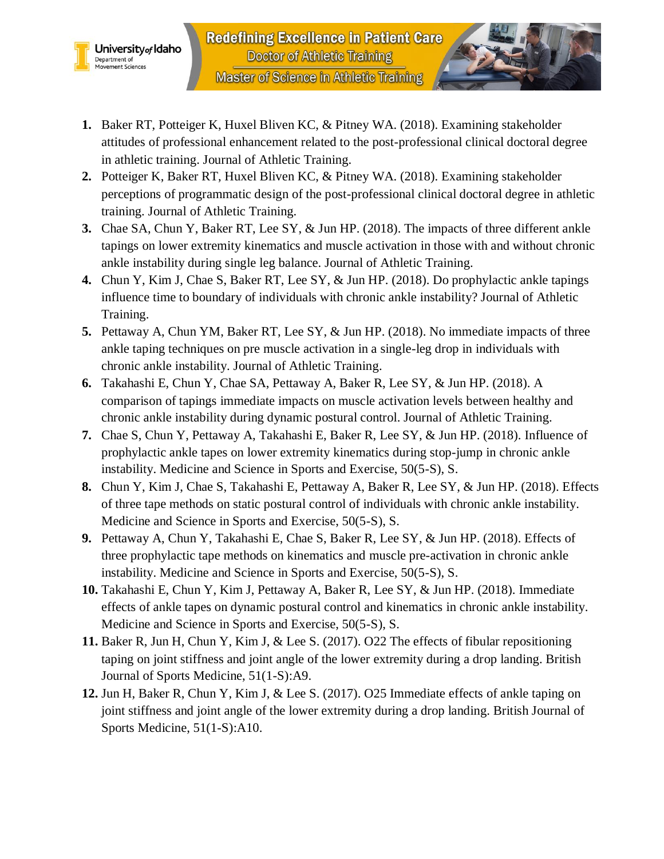



- **2.** Potteiger K, Baker RT, Huxel Bliven KC, & Pitney WA. (2018). Examining stakeholder perceptions of programmatic design of the post-professional clinical doctoral degree in athletic training. Journal of Athletic Training.
- **3.** Chae SA, Chun Y, Baker RT, Lee SY, & Jun HP. (2018). The impacts of three different ankle tapings on lower extremity kinematics and muscle activation in those with and without chronic ankle instability during single leg balance. Journal of Athletic Training.
- **4.** Chun Y, Kim J, Chae S, Baker RT, Lee SY, & Jun HP. (2018). Do prophylactic ankle tapings influence time to boundary of individuals with chronic ankle instability? Journal of Athletic Training.
- **5.** Pettaway A, Chun YM, Baker RT, Lee SY, & Jun HP. (2018). No immediate impacts of three ankle taping techniques on pre muscle activation in a single-leg drop in individuals with chronic ankle instability. Journal of Athletic Training.
- **6.** Takahashi E, Chun Y, Chae SA, Pettaway A, Baker R, Lee SY, & Jun HP. (2018). A comparison of tapings immediate impacts on muscle activation levels between healthy and chronic ankle instability during dynamic postural control. Journal of Athletic Training.
- **7.** Chae S, Chun Y, Pettaway A, Takahashi E, Baker R, Lee SY, & Jun HP. (2018). Influence of prophylactic ankle tapes on lower extremity kinematics during stop-jump in chronic ankle instability. Medicine and Science in Sports and Exercise, 50(5-S), S.
- **8.** Chun Y, Kim J, Chae S, Takahashi E, Pettaway A, Baker R, Lee SY, & Jun HP. (2018). Effects of three tape methods on static postural control of individuals with chronic ankle instability. Medicine and Science in Sports and Exercise, 50(5-S), S.
- **9.** Pettaway A, Chun Y, Takahashi E, Chae S, Baker R, Lee SY, & Jun HP. (2018). Effects of three prophylactic tape methods on kinematics and muscle pre-activation in chronic ankle instability. Medicine and Science in Sports and Exercise, 50(5-S), S.
- **10.** Takahashi E, Chun Y, Kim J, Pettaway A, Baker R, Lee SY, & Jun HP. (2018). Immediate effects of ankle tapes on dynamic postural control and kinematics in chronic ankle instability. Medicine and Science in Sports and Exercise, 50(5-S), S.
- **11.** Baker R, Jun H, Chun Y, Kim J, & Lee S. (2017). O22 The effects of fibular repositioning taping on joint stiffness and joint angle of the lower extremity during a drop landing. British Journal of Sports Medicine, 51(1-S):A9.
- **12.** Jun H, Baker R, Chun Y, Kim J, & Lee S. (2017). O25 Immediate effects of ankle taping on joint stiffness and joint angle of the lower extremity during a drop landing. British Journal of Sports Medicine, 51(1-S):A10.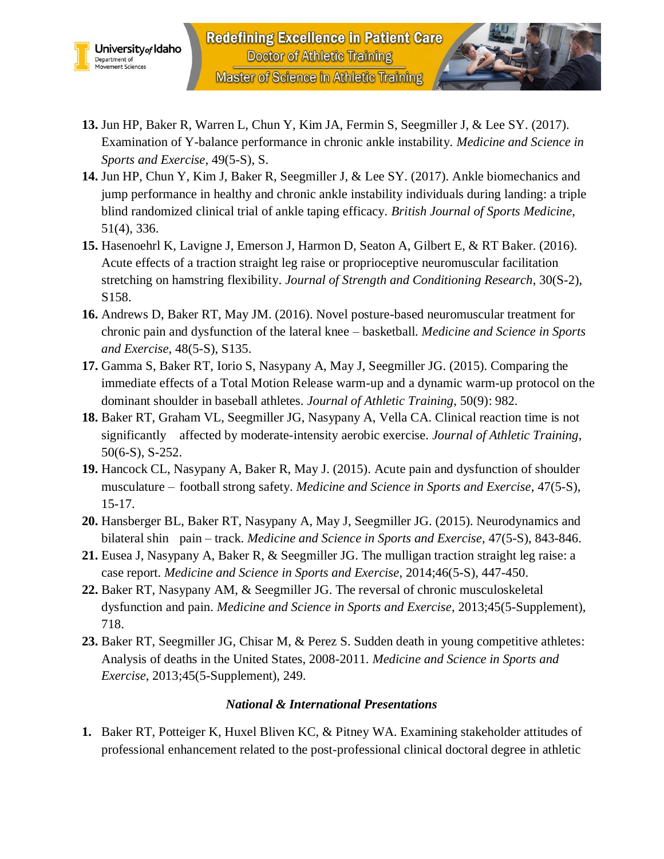



- **13.** Jun HP, Baker R, Warren L, Chun Y, Kim JA, Fermin S, Seegmiller J, & Lee SY. (2017). Examination of Y-balance performance in chronic ankle instability. *Medicine and Science in Sports and Exercise*, 49(5-S), S.
- **14.** Jun HP, Chun Y, Kim J, Baker R, Seegmiller J, & Lee SY. (2017). Ankle biomechanics and jump performance in healthy and chronic ankle instability individuals during landing: a triple blind randomized clinical trial of ankle taping efficacy. *British Journal of Sports Medicine*, 51(4), 336.
- **15.** Hasenoehrl K, Lavigne J, Emerson J, Harmon D, Seaton A, Gilbert E, & RT Baker. (2016). Acute effects of a traction straight leg raise or proprioceptive neuromuscular facilitation stretching on hamstring flexibility. *Journal of Strength and Conditioning Research*, 30(S-2), S158.
- **16.** Andrews D, Baker RT, May JM. (2016). Novel posture-based neuromuscular treatment for chronic pain and dysfunction of the lateral knee – basketball. *Medicine and Science in Sports and Exercise*, 48(5-S), S135.
- **17.** Gamma S, Baker RT, Iorio S, Nasypany A, May J, Seegmiller JG. (2015). Comparing the immediate effects of a Total Motion Release warm-up and a dynamic warm-up protocol on the dominant shoulder in baseball athletes. *Journal of Athletic Training*, 50(9): 982.
- **18.** Baker RT, Graham VL, Seegmiller JG, Nasypany A, Vella CA. Clinical reaction time is not significantly affected by moderate-intensity aerobic exercise. *Journal of Athletic Training*, 50(6-S), S-252.
- **19.** Hancock CL, Nasypany A, Baker R, May J. (2015). Acute pain and dysfunction of shoulder musculature – football strong safety. *Medicine and Science in Sports and Exercise*, 47(5-S), 15-17.
- **20.** Hansberger BL, Baker RT, Nasypany A, May J, Seegmiller JG. (2015). Neurodynamics and bilateral shin pain – track. *Medicine and Science in Sports and Exercise*, 47(5-S), 843-846.
- **21.** Eusea J, Nasypany A, Baker R, & Seegmiller JG. The mulligan traction straight leg raise: a case report. *Medicine and Science in Sports and Exercise*, 2014;46(5-S), 447-450.
- **22.** Baker RT, Nasypany AM, & Seegmiller JG. The reversal of chronic musculoskeletal dysfunction and pain. *Medicine and Science in Sports and Exercise*, 2013;45(5-Supplement), 718.
- **23.** Baker RT, Seegmiller JG, Chisar M, & Perez S. Sudden death in young competitive athletes: Analysis of deaths in the United States, 2008-2011. *Medicine and Science in Sports and Exercise*, 2013;45(5-Supplement), 249.

#### *National & International Presentations*

**1.** Baker RT, Potteiger K, Huxel Bliven KC, & Pitney WA. Examining stakeholder attitudes of professional enhancement related to the post-professional clinical doctoral degree in athletic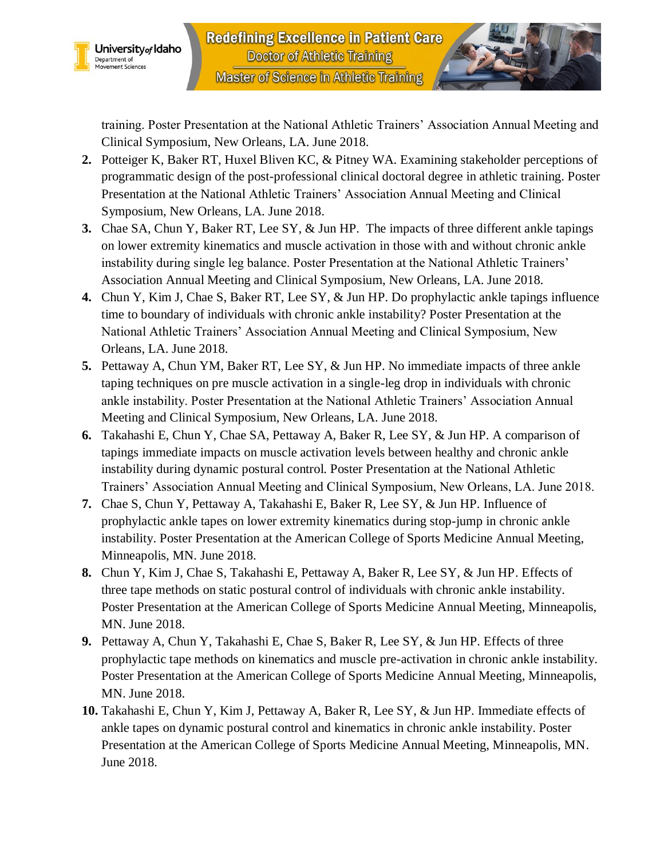

training. Poster Presentation at the National Athletic Trainers' Association Annual Meeting and Clinical Symposium, New Orleans, LA. June 2018.

- **2.** Potteiger K, Baker RT, Huxel Bliven KC, & Pitney WA. Examining stakeholder perceptions of programmatic design of the post-professional clinical doctoral degree in athletic training. Poster Presentation at the National Athletic Trainers' Association Annual Meeting and Clinical Symposium, New Orleans, LA. June 2018.
- **3.** Chae SA, Chun Y, Baker RT, Lee SY, & Jun HP. The impacts of three different ankle tapings on lower extremity kinematics and muscle activation in those with and without chronic ankle instability during single leg balance. Poster Presentation at the National Athletic Trainers' Association Annual Meeting and Clinical Symposium, New Orleans, LA. June 2018.
- **4.** Chun Y, Kim J, Chae S, Baker RT, Lee SY, & Jun HP. Do prophylactic ankle tapings influence time to boundary of individuals with chronic ankle instability? Poster Presentation at the National Athletic Trainers' Association Annual Meeting and Clinical Symposium, New Orleans, LA. June 2018.
- **5.** Pettaway A, Chun YM, Baker RT, Lee SY, & Jun HP. No immediate impacts of three ankle taping techniques on pre muscle activation in a single-leg drop in individuals with chronic ankle instability. Poster Presentation at the National Athletic Trainers' Association Annual Meeting and Clinical Symposium, New Orleans, LA. June 2018.
- **6.** Takahashi E, Chun Y, Chae SA, Pettaway A, Baker R, Lee SY, & Jun HP. A comparison of tapings immediate impacts on muscle activation levels between healthy and chronic ankle instability during dynamic postural control. Poster Presentation at the National Athletic Trainers' Association Annual Meeting and Clinical Symposium, New Orleans, LA. June 2018.
- **7.** Chae S, Chun Y, Pettaway A, Takahashi E, Baker R, Lee SY, & Jun HP. Influence of prophylactic ankle tapes on lower extremity kinematics during stop-jump in chronic ankle instability. Poster Presentation at the American College of Sports Medicine Annual Meeting, Minneapolis, MN. June 2018.
- **8.** Chun Y, Kim J, Chae S, Takahashi E, Pettaway A, Baker R, Lee SY, & Jun HP. Effects of three tape methods on static postural control of individuals with chronic ankle instability. Poster Presentation at the American College of Sports Medicine Annual Meeting, Minneapolis, MN. June 2018.
- **9.** Pettaway A, Chun Y, Takahashi E, Chae S, Baker R, Lee SY, & Jun HP. Effects of three prophylactic tape methods on kinematics and muscle pre-activation in chronic ankle instability. Poster Presentation at the American College of Sports Medicine Annual Meeting, Minneapolis, MN. June 2018.
- **10.** Takahashi E, Chun Y, Kim J, Pettaway A, Baker R, Lee SY, & Jun HP. Immediate effects of ankle tapes on dynamic postural control and kinematics in chronic ankle instability. Poster Presentation at the American College of Sports Medicine Annual Meeting, Minneapolis, MN. June 2018.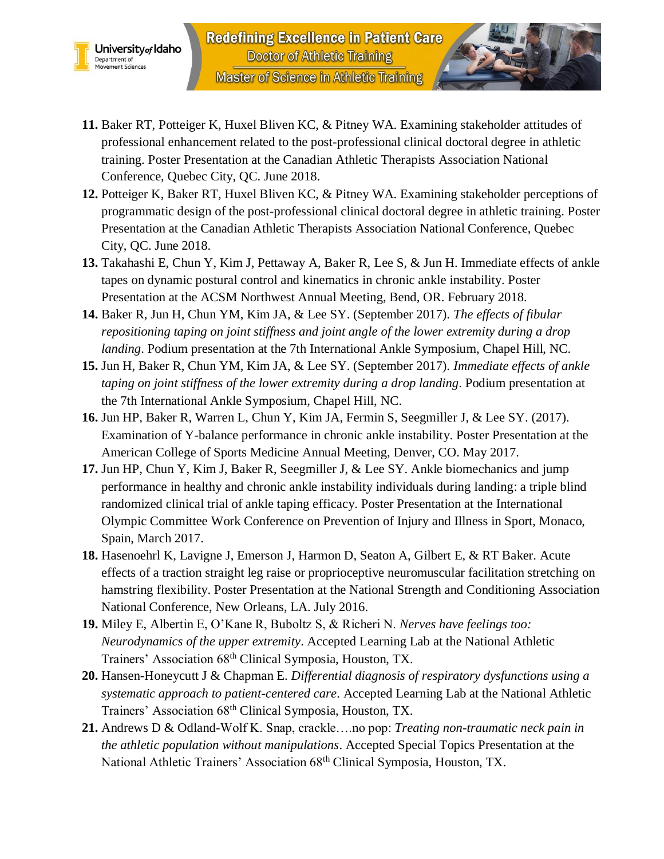

- **11.** Baker RT, Potteiger K, Huxel Bliven KC, & Pitney WA. Examining stakeholder attitudes of professional enhancement related to the post-professional clinical doctoral degree in athletic training. Poster Presentation at the Canadian Athletic Therapists Association National Conference, Quebec City, QC. June 2018.
- **12.** Potteiger K, Baker RT, Huxel Bliven KC, & Pitney WA. Examining stakeholder perceptions of programmatic design of the post-professional clinical doctoral degree in athletic training. Poster Presentation at the Canadian Athletic Therapists Association National Conference, Quebec City, QC. June 2018.
- **13.** Takahashi E, Chun Y, Kim J, Pettaway A, Baker R, Lee S, & Jun H. Immediate effects of ankle tapes on dynamic postural control and kinematics in chronic ankle instability. Poster Presentation at the ACSM Northwest Annual Meeting, Bend, OR. February 2018.
- **14.** Baker R, Jun H, Chun YM, Kim JA, & Lee SY. (September 2017). *The effects of fibular repositioning taping on joint stiffness and joint angle of the lower extremity during a drop landing*. Podium presentation at the 7th International Ankle Symposium, Chapel Hill, NC.
- **15.** Jun H, Baker R, Chun YM, Kim JA, & Lee SY. (September 2017). *Immediate effects of ankle taping on joint stiffness of the lower extremity during a drop landing*. Podium presentation at the 7th International Ankle Symposium, Chapel Hill, NC.
- **16.** Jun HP, Baker R, Warren L, Chun Y, Kim JA, Fermin S, Seegmiller J, & Lee SY. (2017). Examination of Y-balance performance in chronic ankle instability. Poster Presentation at the American College of Sports Medicine Annual Meeting, Denver, CO. May 2017.
- **17.** Jun HP, Chun Y, Kim J, Baker R, Seegmiller J, & Lee SY. Ankle biomechanics and jump performance in healthy and chronic ankle instability individuals during landing: a triple blind randomized clinical trial of ankle taping efficacy. Poster Presentation at the International Olympic Committee Work Conference on Prevention of Injury and Illness in Sport, Monaco, Spain, March 2017.
- **18.** Hasenoehrl K, Lavigne J, Emerson J, Harmon D, Seaton A, Gilbert E, & RT Baker. Acute effects of a traction straight leg raise or proprioceptive neuromuscular facilitation stretching on hamstring flexibility. Poster Presentation at the National Strength and Conditioning Association National Conference, New Orleans, LA. July 2016.
- **19.** Miley E, Albertin E, O'Kane R, Buboltz S, & Richeri N. *Nerves have feelings too: Neurodynamics of the upper extremity*. Accepted Learning Lab at the National Athletic Trainers' Association 68<sup>th</sup> Clinical Symposia, Houston, TX.
- **20.** Hansen-Honeycutt J & Chapman E. *Differential diagnosis of respiratory dysfunctions using a systematic approach to patient-centered care*. Accepted Learning Lab at the National Athletic Trainers' Association 68th Clinical Symposia, Houston, TX.
- **21.** Andrews D & Odland-Wolf K. Snap, crackle….no pop: *Treating non-traumatic neck pain in the athletic population without manipulations*. Accepted Special Topics Presentation at the National Athletic Trainers' Association 68<sup>th</sup> Clinical Symposia, Houston, TX.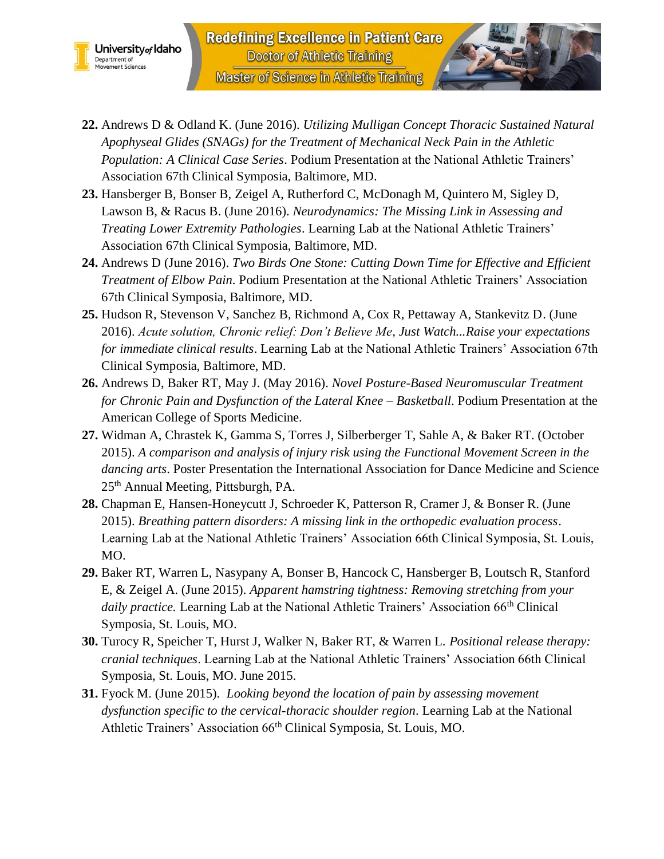



- **22.** Andrews D & Odland K. (June 2016). *Utilizing Mulligan Concept Thoracic Sustained Natural Apophyseal Glides (SNAGs) for the Treatment of Mechanical Neck Pain in the Athletic Population: A Clinical Case Series*. Podium Presentation at the National Athletic Trainers' Association 67th Clinical Symposia, Baltimore, MD.
- **23.** Hansberger B, Bonser B, Zeigel A, Rutherford C, McDonagh M, Quintero M, Sigley D, Lawson B, & Racus B. (June 2016). *Neurodynamics: The Missing Link in Assessing and Treating Lower Extremity Pathologies*. Learning Lab at the National Athletic Trainers' Association 67th Clinical Symposia, Baltimore, MD.
- **24.** Andrews D (June 2016). *Two Birds One Stone: Cutting Down Time for Effective and Efficient Treatment of Elbow Pain*. Podium Presentation at the National Athletic Trainers' Association 67th Clinical Symposia, Baltimore, MD.
- **25.** Hudson R, Stevenson V, Sanchez B, Richmond A, Cox R, Pettaway A, Stankevitz D. (June 2016). *Acute solution, Chronic relief: Don't Believe Me, Just Watch...Raise your expectations for immediate clinical results*. Learning Lab at the National Athletic Trainers' Association 67th Clinical Symposia, Baltimore, MD.
- **26.** Andrews D, Baker RT, May J. (May 2016). *Novel Posture-Based Neuromuscular Treatment for Chronic Pain and Dysfunction of the Lateral Knee – Basketball*. Podium Presentation at the American College of Sports Medicine.
- **27.** Widman A, Chrastek K, Gamma S, Torres J, Silberberger T, Sahle A, & Baker RT. (October 2015). *A comparison and analysis of injury risk using the Functional Movement Screen in the dancing arts*. Poster Presentation the International Association for Dance Medicine and Science 25<sup>th</sup> Annual Meeting, Pittsburgh, PA.
- **28.** Chapman E, Hansen-Honeycutt J, Schroeder K, Patterson R, Cramer J, & Bonser R. (June 2015). *Breathing pattern disorders: A missing link in the orthopedic evaluation process*. Learning Lab at the National Athletic Trainers' Association 66th Clinical Symposia, St. Louis, MO.
- **29.** Baker RT, Warren L, Nasypany A, Bonser B, Hancock C, Hansberger B, Loutsch R, Stanford E, & Zeigel A. (June 2015). *Apparent hamstring tightness: Removing stretching from your*  daily practice. Learning Lab at the National Athletic Trainers' Association 66<sup>th</sup> Clinical Symposia, St. Louis, MO.
- **30.** Turocy R, Speicher T, Hurst J, Walker N, Baker RT, & Warren L. *Positional release therapy: cranial techniques*. Learning Lab at the National Athletic Trainers' Association 66th Clinical Symposia, St. Louis, MO. June 2015.
- **31.** Fyock M. (June 2015). *Looking beyond the location of pain by assessing movement dysfunction specific to the cervical-thoracic shoulder region*. Learning Lab at the National Athletic Trainers' Association 66th Clinical Symposia, St. Louis, MO.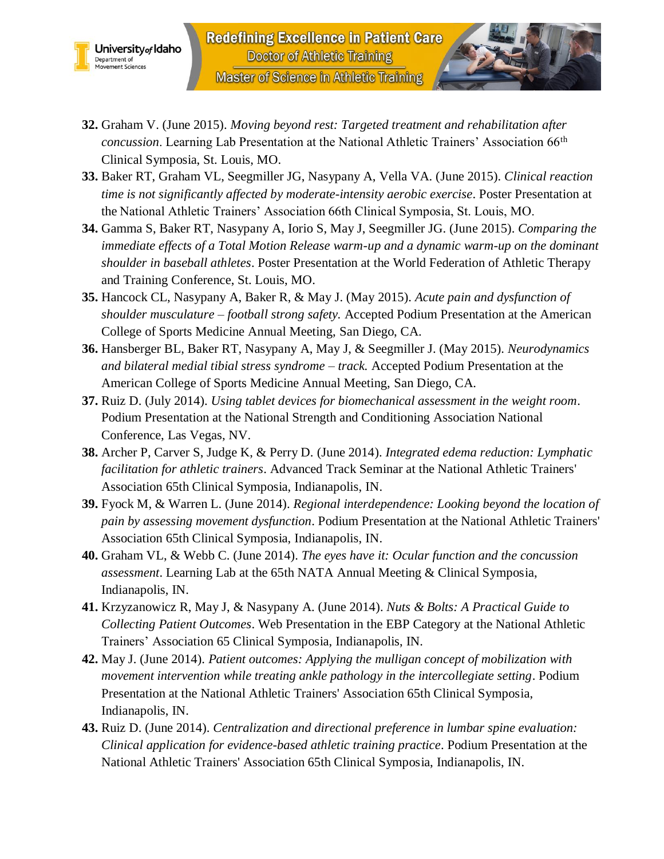



- **32.** Graham V. (June 2015). *Moving beyond rest: Targeted treatment and rehabilitation after concussion*. Learning Lab Presentation at the National Athletic Trainers' Association 66th Clinical Symposia, St. Louis, MO.
- **33.** Baker RT, Graham VL, Seegmiller JG, Nasypany A, Vella VA. (June 2015). *Clinical reaction time is not significantly affected by moderate-intensity aerobic exercise*. Poster Presentation at the National Athletic Trainers' Association 66th Clinical Symposia, St. Louis, MO.
- **34.** Gamma S, Baker RT, Nasypany A, Iorio S, May J, Seegmiller JG. (June 2015). *Comparing the immediate effects of a Total Motion Release warm-up and a dynamic warm-up on the dominant shoulder in baseball athletes*. Poster Presentation at the World Federation of Athletic Therapy and Training Conference, St. Louis, MO.
- **35.** Hancock CL, Nasypany A, Baker R, & May J. (May 2015). *Acute pain and dysfunction of shoulder musculature – football strong safety.* Accepted Podium Presentation at the American College of Sports Medicine Annual Meeting, San Diego, CA.
- **36.** Hansberger BL, Baker RT, Nasypany A, May J, & Seegmiller J. (May 2015). *Neurodynamics and bilateral medial tibial stress syndrome – track.* Accepted Podium Presentation at the American College of Sports Medicine Annual Meeting, San Diego, CA.
- **37.** Ruiz D. (July 2014). *Using tablet devices for biomechanical assessment in the weight room*. Podium Presentation at the National Strength and Conditioning Association National Conference, Las Vegas, NV.
- **38.** Archer P, Carver S, Judge K, & Perry D. (June 2014). *Integrated edema reduction: Lymphatic facilitation for athletic trainers*. Advanced Track Seminar at the National Athletic Trainers' Association 65th Clinical Symposia, Indianapolis, IN.
- **39.** Fyock M, & Warren L. (June 2014). *Regional interdependence: Looking beyond the location of pain by assessing movement dysfunction*. Podium Presentation at the National Athletic Trainers' Association 65th Clinical Symposia, Indianapolis, IN.
- **40.** Graham VL, & Webb C. (June 2014). *The eyes have it: Ocular function and the concussion assessment*. Learning Lab at the 65th NATA Annual Meeting & Clinical Symposia, Indianapolis, IN.
- **41.** Krzyzanowicz R, May J, & Nasypany A. (June 2014). *Nuts & Bolts: A Practical Guide to Collecting Patient Outcomes*. Web Presentation in the EBP Category at the National Athletic Trainers' Association 65 Clinical Symposia, Indianapolis, IN.
- **42.** May J. (June 2014). *Patient outcomes: Applying the mulligan concept of mobilization with movement intervention while treating ankle pathology in the intercollegiate setting*. Podium Presentation at the National Athletic Trainers' Association 65th Clinical Symposia, Indianapolis, IN.
- **43.** Ruiz D. (June 2014). *Centralization and directional preference in lumbar spine evaluation: Clinical application for evidence-based athletic training practice*. Podium Presentation at the National Athletic Trainers' Association 65th Clinical Symposia, Indianapolis, IN.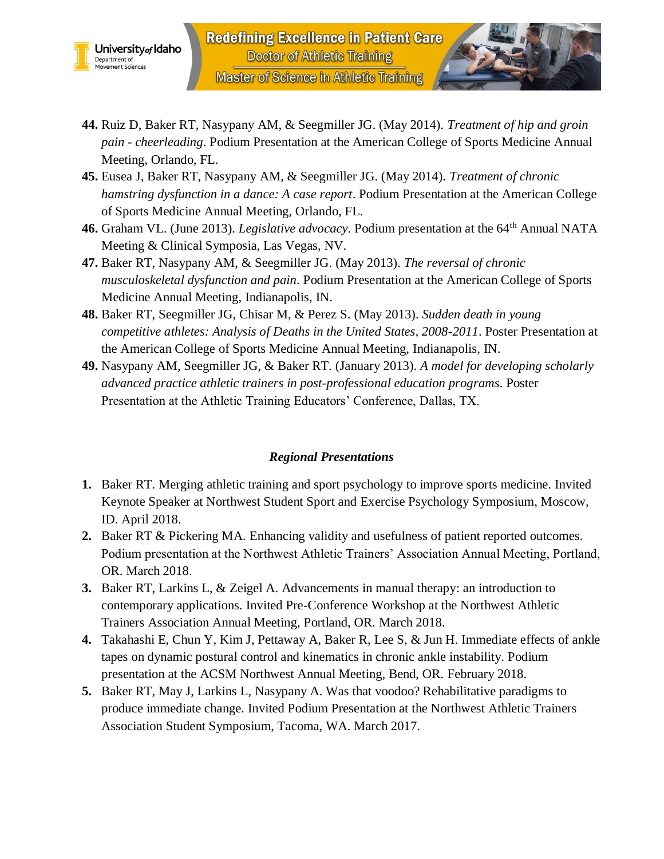



- **44.** Ruiz D, Baker RT, Nasypany AM, & Seegmiller JG. (May 2014). *Treatment of hip and groin pain - cheerleading*. Podium Presentation at the American College of Sports Medicine Annual Meeting, Orlando, FL.
- **45.** Eusea J, Baker RT, Nasypany AM, & Seegmiller JG. (May 2014). *Treatment of chronic hamstring dysfunction in a dance: A case report*. Podium Presentation at the American College of Sports Medicine Annual Meeting, Orlando, FL.
- **46.** Graham VL. (June 2013). *Legislative advocacy*. Podium presentation at the 64th Annual NATA Meeting & Clinical Symposia, Las Vegas, NV.
- **47.** Baker RT, Nasypany AM, & Seegmiller JG. (May 2013). *The reversal of chronic musculoskeletal dysfunction and pain*. Podium Presentation at the American College of Sports Medicine Annual Meeting, Indianapolis, IN.
- **48.** Baker RT, Seegmiller JG, Chisar M, & Perez S. (May 2013). *Sudden death in young competitive athletes: Analysis of Deaths in the United States, 2008-2011*. Poster Presentation at the American College of Sports Medicine Annual Meeting, Indianapolis, IN.
- **49.** Nasypany AM, Seegmiller JG, & Baker RT. (January 2013). *A model for developing scholarly advanced practice athletic trainers in post-professional education programs*. Poster Presentation at the Athletic Training Educators' Conference, Dallas, TX.

# *Regional Presentations*

- **1.** Baker RT. Merging athletic training and sport psychology to improve sports medicine. Invited Keynote Speaker at Northwest Student Sport and Exercise Psychology Symposium, Moscow, ID. April 2018.
- **2.** Baker RT & Pickering MA. Enhancing validity and usefulness of patient reported outcomes. Podium presentation at the Northwest Athletic Trainers' Association Annual Meeting, Portland, OR. March 2018.
- **3.** Baker RT, Larkins L, & Zeigel A. Advancements in manual therapy: an introduction to contemporary applications. Invited Pre-Conference Workshop at the Northwest Athletic Trainers Association Annual Meeting, Portland, OR. March 2018.
- **4.** Takahashi E, Chun Y, Kim J, Pettaway A, Baker R, Lee S, & Jun H. Immediate effects of ankle tapes on dynamic postural control and kinematics in chronic ankle instability. Podium presentation at the ACSM Northwest Annual Meeting, Bend, OR. February 2018.
- **5.** Baker RT, May J, Larkins L, Nasypany A. Was that voodoo? Rehabilitative paradigms to produce immediate change. Invited Podium Presentation at the Northwest Athletic Trainers Association Student Symposium, Tacoma, WA. March 2017.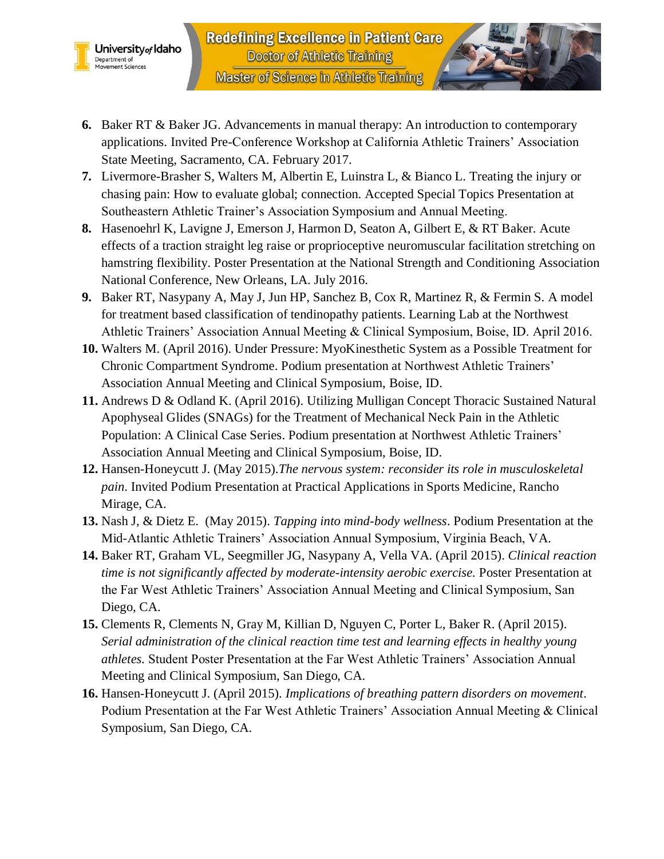



- **7.** Livermore-Brasher S, Walters M, Albertin E, Luinstra L, & Bianco L. Treating the injury or chasing pain: How to evaluate global; connection. Accepted Special Topics Presentation at Southeastern Athletic Trainer's Association Symposium and Annual Meeting.
- **8.** Hasenoehrl K, Lavigne J, Emerson J, Harmon D, Seaton A, Gilbert E, & RT Baker. Acute effects of a traction straight leg raise or proprioceptive neuromuscular facilitation stretching on hamstring flexibility. Poster Presentation at the National Strength and Conditioning Association National Conference, New Orleans, LA. July 2016.
- **9.** Baker RT, Nasypany A, May J, Jun HP, Sanchez B, Cox R, Martinez R, & Fermin S. A model for treatment based classification of tendinopathy patients. Learning Lab at the Northwest Athletic Trainers' Association Annual Meeting & Clinical Symposium, Boise, ID. April 2016.
- **10.** Walters M. (April 2016). Under Pressure: MyoKinesthetic System as a Possible Treatment for Chronic Compartment Syndrome. Podium presentation at Northwest Athletic Trainers' Association Annual Meeting and Clinical Symposium, Boise, ID.
- **11.** Andrews D & Odland K. (April 2016). Utilizing Mulligan Concept Thoracic Sustained Natural Apophyseal Glides (SNAGs) for the Treatment of Mechanical Neck Pain in the Athletic Population: A Clinical Case Series. Podium presentation at Northwest Athletic Trainers' Association Annual Meeting and Clinical Symposium, Boise, ID.
- **12.** Hansen-Honeycutt J. (May 2015).*The nervous system: reconsider its role in musculoskeletal pain*. Invited Podium Presentation at Practical Applications in Sports Medicine, Rancho Mirage, CA.
- **13.** Nash J, & Dietz E. (May 2015). *Tapping into mind-body wellness*. Podium Presentation at the Mid-Atlantic Athletic Trainers' Association Annual Symposium, Virginia Beach, VA.
- **14.** Baker RT, Graham VL, Seegmiller JG, Nasypany A, Vella VA. (April 2015). *Clinical reaction time is not significantly affected by moderate-intensity aerobic exercise.* Poster Presentation at the Far West Athletic Trainers' Association Annual Meeting and Clinical Symposium, San Diego, CA.
- **15.** Clements R, Clements N, Gray M, Killian D, Nguyen C, Porter L, Baker R. (April 2015). *Serial administration of the clinical reaction time test and learning effects in healthy young athletes.* Student Poster Presentation at the Far West Athletic Trainers' Association Annual Meeting and Clinical Symposium, San Diego, CA.
- **16.** Hansen-Honeycutt J. (April 2015). *Implications of breathing pattern disorders on movement*. Podium Presentation at the Far West Athletic Trainers' Association Annual Meeting & Clinical Symposium, San Diego, CA.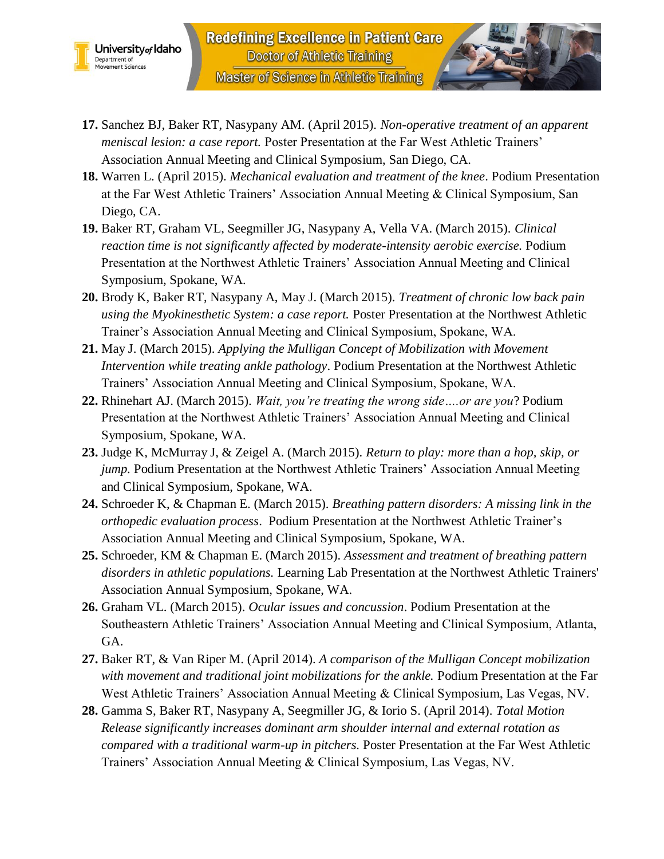



- **18.** Warren L. (April 2015). *Mechanical evaluation and treatment of the knee*. Podium Presentation at the Far West Athletic Trainers' Association Annual Meeting & Clinical Symposium, San Diego, CA.
- **19.** Baker RT, Graham VL, Seegmiller JG, Nasypany A, Vella VA. (March 2015). *Clinical reaction time is not significantly affected by moderate-intensity aerobic exercise.* Podium Presentation at the Northwest Athletic Trainers' Association Annual Meeting and Clinical Symposium, Spokane, WA.
- **20.** Brody K, Baker RT, Nasypany A, May J. (March 2015). *Treatment of chronic low back pain using the Myokinesthetic System: a case report.* Poster Presentation at the Northwest Athletic Trainer's Association Annual Meeting and Clinical Symposium, Spokane, WA.
- **21.** May J. (March 2015). *Applying the Mulligan Concept of Mobilization with Movement Intervention while treating ankle pathology*. Podium Presentation at the Northwest Athletic Trainers' Association Annual Meeting and Clinical Symposium, Spokane, WA.
- **22.** Rhinehart AJ. (March 2015). *Wait, you're treating the wrong side….or are you*? Podium Presentation at the Northwest Athletic Trainers' Association Annual Meeting and Clinical Symposium, Spokane, WA.
- **23.** Judge K, McMurray J, & Zeigel A. (March 2015). *Return to play: more than a hop, skip, or jump.* Podium Presentation at the Northwest Athletic Trainers' Association Annual Meeting and Clinical Symposium, Spokane, WA.
- **24.** Schroeder K, & Chapman E. (March 2015). *Breathing pattern disorders: A missing link in the orthopedic evaluation process*. Podium Presentation at the Northwest Athletic Trainer's Association Annual Meeting and Clinical Symposium, Spokane, WA.
- **25.** Schroeder, KM & Chapman E. (March 2015). *Assessment and treatment of breathing pattern disorders in athletic populations.* Learning Lab Presentation at the Northwest Athletic Trainers' Association Annual Symposium, Spokane, WA.
- **26.** Graham VL. (March 2015). *Ocular issues and concussion*. Podium Presentation at the Southeastern Athletic Trainers' Association Annual Meeting and Clinical Symposium, Atlanta, GA.
- **27.** Baker RT, & Van Riper M. (April 2014). *A comparison of the Mulligan Concept mobilization with movement and traditional joint mobilizations for the ankle.* Podium Presentation at the Far West Athletic Trainers' Association Annual Meeting & Clinical Symposium, Las Vegas, NV.
- **28.** Gamma S, Baker RT, Nasypany A, Seegmiller JG, & Iorio S. (April 2014). *Total Motion Release significantly increases dominant arm shoulder internal and external rotation as compared with a traditional warm-up in pitchers.* Poster Presentation at the Far West Athletic Trainers' Association Annual Meeting & Clinical Symposium, Las Vegas, NV.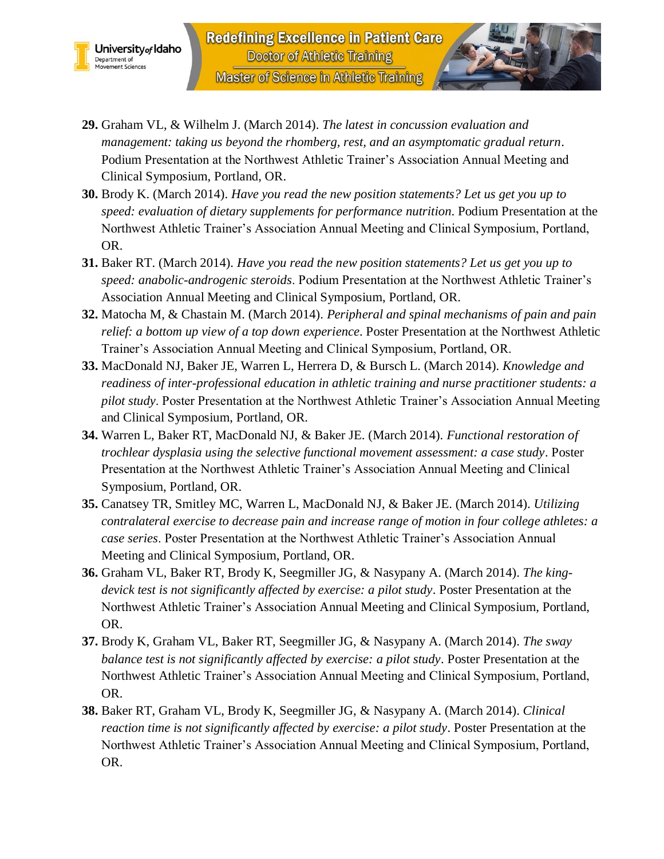



- **30.** Brody K. (March 2014). *Have you read the new position statements? Let us get you up to speed: evaluation of dietary supplements for performance nutrition*. Podium Presentation at the Northwest Athletic Trainer's Association Annual Meeting and Clinical Symposium, Portland, OR.
- **31.** Baker RT. (March 2014). *Have you read the new position statements? Let us get you up to speed: anabolic-androgenic steroids*. Podium Presentation at the Northwest Athletic Trainer's Association Annual Meeting and Clinical Symposium, Portland, OR.
- **32.** Matocha M, & Chastain M. (March 2014). *Peripheral and spinal mechanisms of pain and pain relief: a bottom up view of a top down experience*. Poster Presentation at the Northwest Athletic Trainer's Association Annual Meeting and Clinical Symposium, Portland, OR.
- **33.** MacDonald NJ, Baker JE, Warren L, Herrera D, & Bursch L. (March 2014). *Knowledge and readiness of inter-professional education in athletic training and nurse practitioner students: a pilot study*. Poster Presentation at the Northwest Athletic Trainer's Association Annual Meeting and Clinical Symposium, Portland, OR.
- **34.** Warren L, Baker RT, MacDonald NJ, & Baker JE. (March 2014). *Functional restoration of trochlear dysplasia using the selective functional movement assessment: a case study*. Poster Presentation at the Northwest Athletic Trainer's Association Annual Meeting and Clinical Symposium, Portland, OR.
- **35.** Canatsey TR, Smitley MC, Warren L, MacDonald NJ, & Baker JE. (March 2014). *Utilizing contralateral exercise to decrease pain and increase range of motion in four college athletes: a case series*. Poster Presentation at the Northwest Athletic Trainer's Association Annual Meeting and Clinical Symposium, Portland, OR.
- **36.** Graham VL, Baker RT, Brody K, Seegmiller JG, & Nasypany A. (March 2014). *The kingdevick test is not significantly affected by exercise: a pilot study*. Poster Presentation at the Northwest Athletic Trainer's Association Annual Meeting and Clinical Symposium, Portland, OR.
- **37.** Brody K, Graham VL, Baker RT, Seegmiller JG, & Nasypany A. (March 2014). *The sway balance test is not significantly affected by exercise: a pilot study*. Poster Presentation at the Northwest Athletic Trainer's Association Annual Meeting and Clinical Symposium, Portland, OR.
- **38.** Baker RT, Graham VL, Brody K, Seegmiller JG, & Nasypany A. (March 2014). *Clinical reaction time is not significantly affected by exercise: a pilot study*. Poster Presentation at the Northwest Athletic Trainer's Association Annual Meeting and Clinical Symposium, Portland, OR.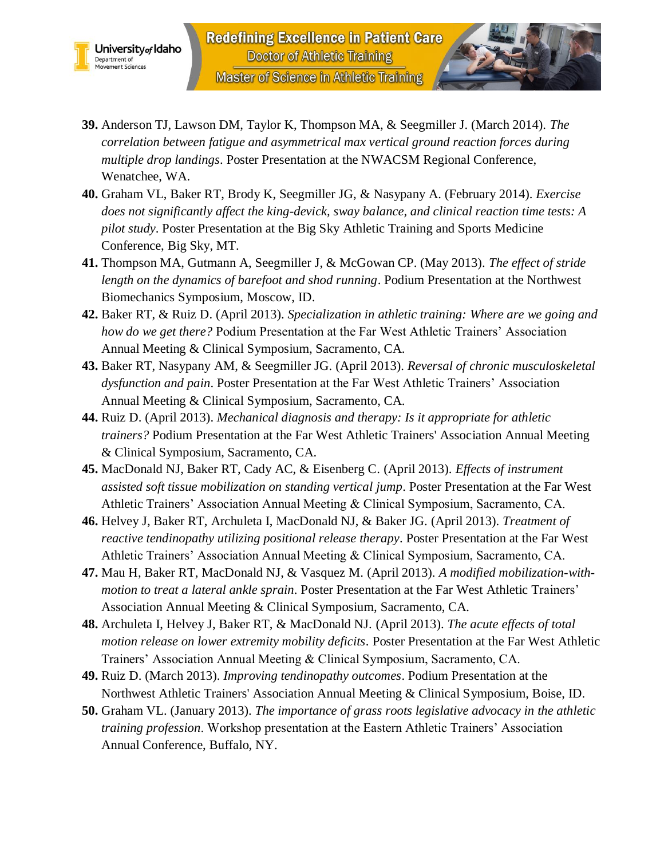



- **39.** Anderson TJ, Lawson DM, Taylor K, Thompson MA, & Seegmiller J. (March 2014). *The correlation between fatigue and asymmetrical max vertical ground reaction forces during multiple drop landings*. Poster Presentation at the NWACSM Regional Conference, Wenatchee, WA.
- **40.** Graham VL, Baker RT, Brody K, Seegmiller JG, & Nasypany A. (February 2014). *Exercise does not significantly affect the king-devick, sway balance, and clinical reaction time tests: A pilot study*. Poster Presentation at the Big Sky Athletic Training and Sports Medicine Conference, Big Sky, MT.
- **41.** Thompson MA, Gutmann A, Seegmiller J, & McGowan CP. (May 2013). *The effect of stride length on the dynamics of barefoot and shod running*. Podium Presentation at the Northwest Biomechanics Symposium, Moscow, ID.
- **42.** Baker RT, & Ruiz D. (April 2013). *Specialization in athletic training: Where are we going and how do we get there?* Podium Presentation at the Far West Athletic Trainers' Association Annual Meeting & Clinical Symposium, Sacramento, CA.
- **43.** Baker RT, Nasypany AM, & Seegmiller JG. (April 2013). *Reversal of chronic musculoskeletal dysfunction and pain*. Poster Presentation at the Far West Athletic Trainers' Association Annual Meeting & Clinical Symposium, Sacramento, CA.
- **44.** Ruiz D. (April 2013). *Mechanical diagnosis and therapy: Is it appropriate for athletic trainers?* Podium Presentation at the Far West Athletic Trainers' Association Annual Meeting & Clinical Symposium, Sacramento, CA.
- **45.** MacDonald NJ, Baker RT, Cady AC, & Eisenberg C. (April 2013). *Effects of instrument assisted soft tissue mobilization on standing vertical jump*. Poster Presentation at the Far West Athletic Trainers' Association Annual Meeting & Clinical Symposium, Sacramento, CA.
- **46.** Helvey J, Baker RT, Archuleta I, MacDonald NJ, & Baker JG. (April 2013). *Treatment of reactive tendinopathy utilizing positional release therapy*. Poster Presentation at the Far West Athletic Trainers' Association Annual Meeting & Clinical Symposium, Sacramento, CA.
- **47.** Mau H, Baker RT, MacDonald NJ, & Vasquez M. (April 2013). *A modified mobilization-withmotion to treat a lateral ankle sprain*. Poster Presentation at the Far West Athletic Trainers' Association Annual Meeting & Clinical Symposium, Sacramento, CA.
- **48.** Archuleta I, Helvey J, Baker RT, & MacDonald NJ. (April 2013). *The acute effects of total motion release on lower extremity mobility deficits*. Poster Presentation at the Far West Athletic Trainers' Association Annual Meeting & Clinical Symposium, Sacramento, CA.
- **49.** Ruiz D. (March 2013). *Improving tendinopathy outcomes*. Podium Presentation at the Northwest Athletic Trainers' Association Annual Meeting & Clinical Symposium, Boise, ID.
- **50.** Graham VL. (January 2013). *The importance of grass roots legislative advocacy in the athletic training profession*. Workshop presentation at the Eastern Athletic Trainers' Association Annual Conference, Buffalo, NY.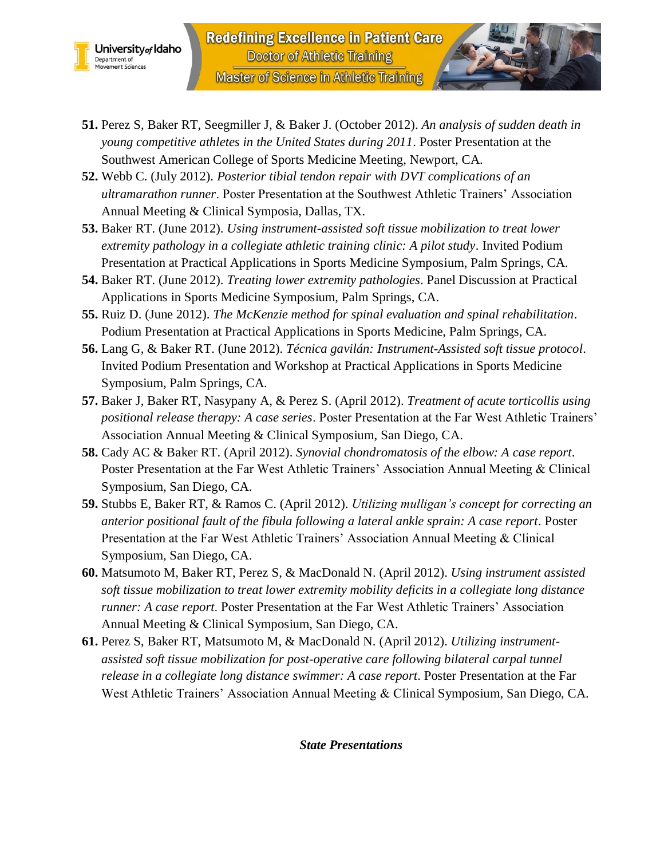



- **52.** Webb C. (July 2012). *Posterior tibial tendon repair with DVT complications of an ultramarathon runner*. Poster Presentation at the Southwest Athletic Trainers' Association Annual Meeting & Clinical Symposia, Dallas, TX.
- **53.** Baker RT. (June 2012). *Using instrument-assisted soft tissue mobilization to treat lower extremity pathology in a collegiate athletic training clinic: A pilot study*. Invited Podium Presentation at Practical Applications in Sports Medicine Symposium, Palm Springs, CA.
- **54.** Baker RT. (June 2012). *Treating lower extremity pathologies*. Panel Discussion at Practical Applications in Sports Medicine Symposium, Palm Springs, CA.
- **55.** Ruiz D. (June 2012). *The McKenzie method for spinal evaluation and spinal rehabilitation*. Podium Presentation at Practical Applications in Sports Medicine, Palm Springs, CA.
- **56.** Lang G, & Baker RT. (June 2012). *Técnica gavilán: Instrument-Assisted soft tissue protocol*. Invited Podium Presentation and Workshop at Practical Applications in Sports Medicine Symposium, Palm Springs, CA.
- **57.** Baker J, Baker RT, Nasypany A, & Perez S. (April 2012). *Treatment of acute torticollis using positional release therapy: A case series*. Poster Presentation at the Far West Athletic Trainers' Association Annual Meeting & Clinical Symposium, San Diego, CA.
- **58.** Cady AC & Baker RT. (April 2012). *Synovial chondromatosis of the elbow: A case report*. Poster Presentation at the Far West Athletic Trainers' Association Annual Meeting & Clinical Symposium, San Diego, CA.
- **59.** Stubbs E, Baker RT, & Ramos C. (April 2012). *Utilizing mulligan's concept for correcting an anterior positional fault of the fibula following a lateral ankle sprain: A case report*. Poster Presentation at the Far West Athletic Trainers' Association Annual Meeting & Clinical Symposium, San Diego, CA.
- **60.** Matsumoto M, Baker RT, Perez S, & MacDonald N. (April 2012). *Using instrument assisted soft tissue mobilization to treat lower extremity mobility deficits in a collegiate long distance runner: A case report*. Poster Presentation at the Far West Athletic Trainers' Association Annual Meeting & Clinical Symposium, San Diego, CA.
- **61.** Perez S, Baker RT, Matsumoto M, & MacDonald N. (April 2012). *Utilizing instrumentassisted soft tissue mobilization for post-operative care following bilateral carpal tunnel release in a collegiate long distance swimmer: A case report*. Poster Presentation at the Far West Athletic Trainers' Association Annual Meeting & Clinical Symposium, San Diego, CA.

*State Presentations*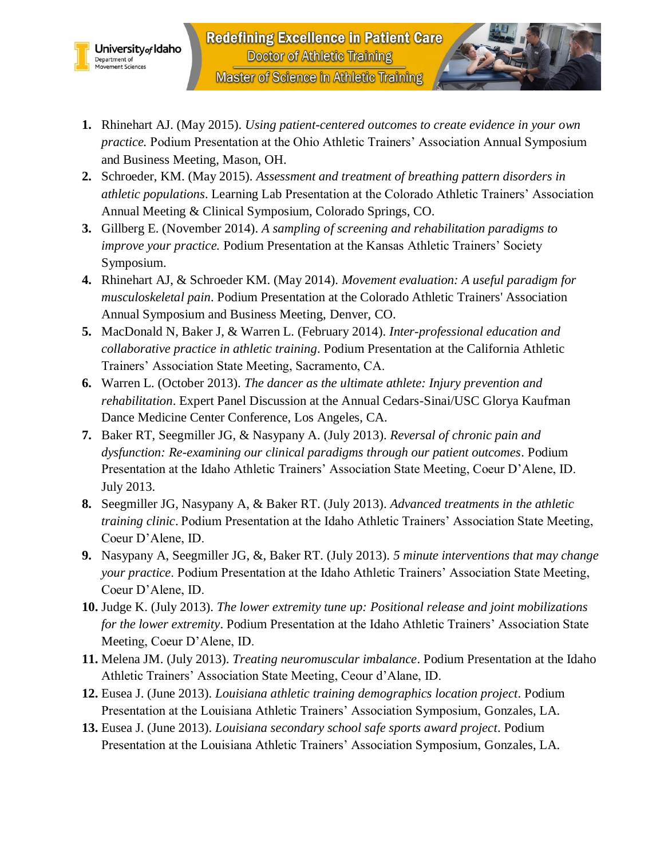



- **2.** Schroeder, KM. (May 2015). *Assessment and treatment of breathing pattern disorders in athletic populations*. Learning Lab Presentation at the Colorado Athletic Trainers' Association Annual Meeting & Clinical Symposium, Colorado Springs, CO.
- **3.** Gillberg E. (November 2014). *A sampling of screening and rehabilitation paradigms to improve your practice.* Podium Presentation at the Kansas Athletic Trainers' Society Symposium.
- **4.** Rhinehart AJ, & Schroeder KM. (May 2014). *Movement evaluation: A useful paradigm for musculoskeletal pain*. Podium Presentation at the Colorado Athletic Trainers' Association Annual Symposium and Business Meeting, Denver, CO.
- **5.** MacDonald N, Baker J, & Warren L. (February 2014). *Inter-professional education and collaborative practice in athletic training*. Podium Presentation at the California Athletic Trainers' Association State Meeting, Sacramento, CA.
- **6.** Warren L. (October 2013). *The dancer as the ultimate athlete: Injury prevention and rehabilitation*. Expert Panel Discussion at the Annual Cedars-Sinai/USC Glorya Kaufman Dance Medicine Center Conference, Los Angeles, CA.
- **7.** Baker RT, Seegmiller JG, & Nasypany A. (July 2013). *Reversal of chronic pain and dysfunction: Re-examining our clinical paradigms through our patient outcomes*. Podium Presentation at the Idaho Athletic Trainers' Association State Meeting, Coeur D'Alene, ID. July 2013.
- **8.** Seegmiller JG, Nasypany A, & Baker RT. (July 2013). *Advanced treatments in the athletic training clinic*. Podium Presentation at the Idaho Athletic Trainers' Association State Meeting, Coeur D'Alene, ID.
- **9.** Nasypany A, Seegmiller JG, &, Baker RT. (July 2013). *5 minute interventions that may change your practice*. Podium Presentation at the Idaho Athletic Trainers' Association State Meeting, Coeur D'Alene, ID.
- **10.** Judge K. (July 2013). *The lower extremity tune up: Positional release and joint mobilizations for the lower extremity*. Podium Presentation at the Idaho Athletic Trainers' Association State Meeting, Coeur D'Alene, ID.
- **11.** Melena JM. (July 2013). *Treating neuromuscular imbalance*. Podium Presentation at the Idaho Athletic Trainers' Association State Meeting, Ceour d'Alane, ID.
- **12.** Eusea J. (June 2013). *Louisiana athletic training demographics location project*. Podium Presentation at the Louisiana Athletic Trainers' Association Symposium, Gonzales, LA.
- **13.** Eusea J. (June 2013). *Louisiana secondary school safe sports award project*. Podium Presentation at the Louisiana Athletic Trainers' Association Symposium, Gonzales, LA.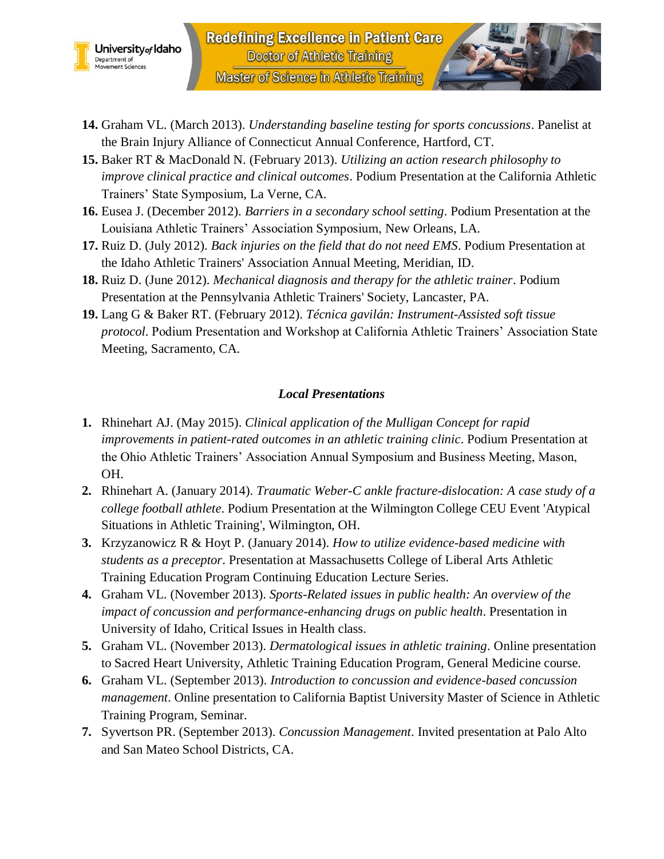



- **15.** Baker RT & MacDonald N. (February 2013). *Utilizing an action research philosophy to improve clinical practice and clinical outcomes*. Podium Presentation at the California Athletic Trainers' State Symposium, La Verne, CA.
- **16.** Eusea J. (December 2012). *Barriers in a secondary school setting*. Podium Presentation at the Louisiana Athletic Trainers' Association Symposium, New Orleans, LA.
- **17.** Ruiz D. (July 2012). *Back injuries on the field that do not need EMS*. Podium Presentation at the Idaho Athletic Trainers' Association Annual Meeting, Meridian, ID.
- **18.** Ruiz D. (June 2012). *Mechanical diagnosis and therapy for the athletic trainer*. Podium Presentation at the Pennsylvania Athletic Trainers' Society, Lancaster, PA.
- **19.** Lang G & Baker RT. (February 2012). *Técnica gavilán: Instrument-Assisted soft tissue protocol*. Podium Presentation and Workshop at California Athletic Trainers' Association State Meeting, Sacramento, CA.

#### *Local Presentations*

- **1.** Rhinehart AJ. (May 2015). *Clinical application of the Mulligan Concept for rapid improvements in patient-rated outcomes in an athletic training clinic*. Podium Presentation at the Ohio Athletic Trainers' Association Annual Symposium and Business Meeting, Mason, OH.
- **2.** Rhinehart A. (January 2014). *Traumatic Weber-C ankle fracture-dislocation: A case study of a college football athlete*. Podium Presentation at the Wilmington College CEU Event 'Atypical Situations in Athletic Training', Wilmington, OH.
- **3.** Krzyzanowicz R & Hoyt P. (January 2014). *How to utilize evidence-based medicine with students as a preceptor*. Presentation at Massachusetts College of Liberal Arts Athletic Training Education Program Continuing Education Lecture Series.
- **4.** Graham VL. (November 2013). *Sports-Related issues in public health: An overview of the impact of concussion and performance-enhancing drugs on public health*. Presentation in University of Idaho, Critical Issues in Health class.
- **5.** Graham VL. (November 2013). *Dermatological issues in athletic training*. Online presentation to Sacred Heart University, Athletic Training Education Program, General Medicine course.
- **6.** Graham VL. (September 2013). *Introduction to concussion and evidence-based concussion management*. Online presentation to California Baptist University Master of Science in Athletic Training Program, Seminar.
- **7.** Syvertson PR. (September 2013). *Concussion Management*. Invited presentation at Palo Alto and San Mateo School Districts, CA.